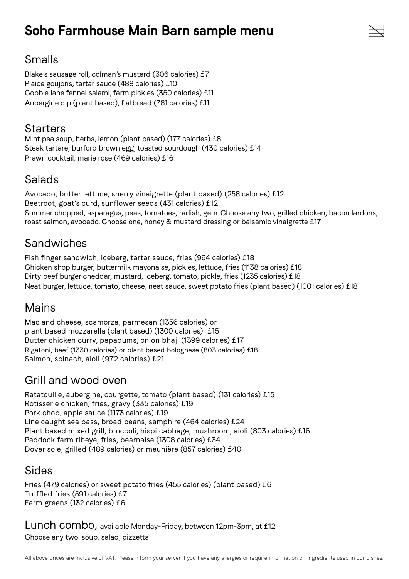# **Soho Farmhouse Main Barn sample menu**



Blake's sausage roll, colman's mustard (306 calories) £7 Plaice goujons, tartar sauce (488 calories) £10 Cobble lane fennel salami, farm pickles (350 calories) £11 Aubergine dip (plant based), flatbread (781 calories) £11

#### **Starters**

Mint pea soup, herbs, lemon (plant based) (177 calories) £8 Steak tartare, burford brown egg, toasted sourdough (430 calories) £14 Prawn cocktail, marie rose (469 calories) £16

#### Salads

Avocado, butter lettuce, sherry vinaigrette (plant based) (258 calories) £12 Beetroot, goat's curd, sunflower seeds (431 calories) £12 Summer chopped, asparagus, peas, tomatoes, radish, gem. Choose any two, grilled chicken, bacon lardons, roast salmon, avocado. Choose one, honey & mustard dressing or balsamic vinaigrette £17

### Sandwiches

Fish finger sandwich, iceberg, tartar sauce, fries (964 calories) £18 Chicken shop burger, buttermilk mayonaise, pickles, lettuce, fries (1138 calories) £18 Dirty beef burger cheddar, mustard, iceberg, tomato, pickle, fries (1235 calories) £18 Neat burger, lettuce, tomato, cheese, neat sauce, sweet potato fries (plant based) (1001 calories) £18

### Mains

Mac and cheese, scamorza, parmesan (1356 calories) or plant based mozzarella (plant based) (1300 calories) £15 Butter chicken curry, papadums, onion bhaji (1399 calories) £17 Rigatoni, beef (1330 calories) or plant based bolognese (803 calories) £18 Salmon, spinach, aioli (972 calories) £21

### Grill and wood oven

Ratatouille, aubergine, courgette, tomato (plant based) (131 calories) £15 Rotisserie chicken, fries, gravy (335 calories) £19 Pork chop, apple sauce (1173 calories) £19 Line caught sea bass, broad beans, samphire (464 calories) £24 Plant based mixed grill, broccoli, hispi cabbage, mushroom, aioli (803 calories) £16 Paddock farm ribeye, fries, bearnaise (1308 calories) £34 Dover sole, grilled (489 calories) or meunière (857 calories) £40

### Sides

Fries (479 calories) or sweet potato fries (455 calories) (plant based) £6 Truffled fries (591 calories) £7 Farm greens (132 calories) £6

Lunch combo, available Monday-Friday, between 12pm-3pm, at £12 Choose any two: soup, salad, pizzetta